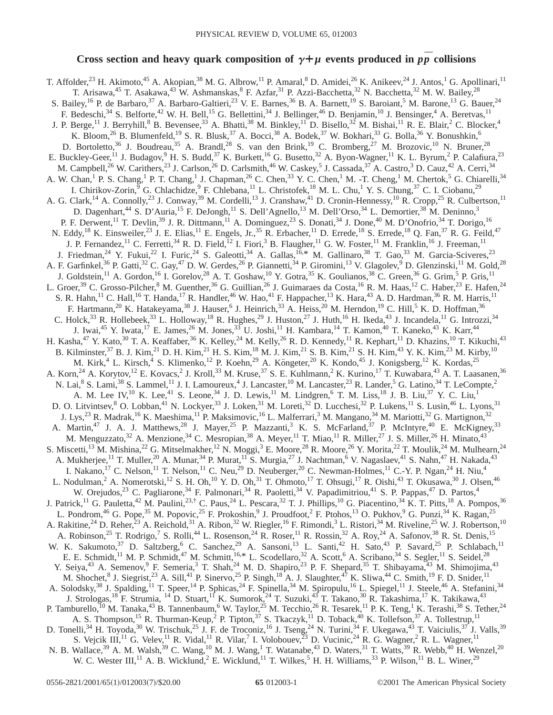## Cross section and heavy quark composition of  $\gamma + \mu$  events produced in  $p\bar{p}$  collisions

T. Affolder,<sup>23</sup> H. Akimoto,<sup>45</sup> A. Akopian,<sup>38</sup> M. G. Albrow,<sup>11</sup> P. Amaral,<sup>8</sup> D. Amidei,<sup>26</sup> K. Anikeev,<sup>24</sup> J. Antos,<sup>1</sup> G. Apollinari,<sup>11</sup> T. Arisawa,<sup>45</sup> T. Asakawa,<sup>43</sup> W. Ashmanskas, <sup>8</sup> F. Azfar,<sup>31</sup> P. Azzi-Bacchetta,<sup>32</sup> N. Bacchetta,<sup>32</sup> M. W. Bailey,<sup>28</sup> S. Bailey, <sup>16</sup> P. de Barbaro, <sup>37</sup> A. Barbaro-Galtieri, <sup>23</sup> V. E. Barnes, <sup>36</sup> B. A. Barnett, <sup>19</sup> S. Baroiant, <sup>5</sup> M. Barone, <sup>13</sup> G. Bauer, <sup>24</sup> F. Bedeschi,<sup>34</sup> S. Belforte,<sup>42</sup> W. H. Bell,<sup>15</sup> G. Bellettini,<sup>34</sup> J. Bellinger,<sup>46</sup> D. Benjamin,<sup>10</sup> J. Bensinger,<sup>4</sup> A. Beretvas,<sup>11</sup> J. P. Berge,<sup>11</sup> J. Berryhill,<sup>8</sup> B. Bevensee,<sup>33</sup> A. Bhatti,<sup>38</sup> M. Binkley,<sup>11</sup> D. Bisello,<sup>32</sup> M. Bishai,<sup>11</sup> R. E. Blair,<sup>2</sup> C. Blocker,<sup>4</sup> K. Bloom,<sup>26</sup> B. Blumenfeld,<sup>19</sup> S. R. Blusk,<sup>37</sup> A. Bocci,<sup>38</sup> A. Bodek,<sup>37</sup> W. Bokhari,<sup>33</sup> G. Bolla,<sup>36</sup> Y. Bonushkin,<sup>6</sup> D. Bortoletto,<sup>36</sup> J. Boudreau,<sup>35</sup> A. Brandl,<sup>28</sup> S. van den Brink,<sup>19</sup> C. Bromberg,<sup>27</sup> M. Brozovic,<sup>10</sup> N. Bruner,<sup>28</sup> E. Buckley-Geer,<sup>11</sup> J. Budagov,<sup>9</sup> H. S. Budd,<sup>37</sup> K. Burkett,<sup>16</sup> G. Busetto,<sup>32</sup> A. Byon-Wagner,<sup>11</sup> K. L. Byrum,<sup>2</sup> P. Calafiura,<sup>23</sup> M. Campbell,<sup>26</sup> W. Carithers,<sup>23</sup> J. Carlson,<sup>26</sup> D. Carlsmith,<sup>46</sup> W. Caskey,<sup>5</sup> J. Cassada,<sup>37</sup> A. Castro,<sup>3</sup> D. Cauz,<sup>42</sup> A. Cerri,<sup>34</sup> A. W. Chan,<sup>1</sup> P. S. Chang,<sup>1</sup> P. T. Chang,<sup>1</sup> J. Chapman,<sup>26</sup> C. Chen,<sup>33</sup> Y. C. Chen,<sup>1</sup> M. -T. Cheng,<sup>1</sup> M. Chertok,<sup>5</sup> G. Chiarelli,<sup>34</sup> I. Chirikov-Zorin,<sup>9</sup> G. Chlachidze,<sup>9</sup> F. Chlebana,<sup>11</sup> L. Christofek,<sup>18</sup> M. L. Chu,<sup>1</sup> Y. S. Chung,<sup>37</sup> C. I. Ciobanu,<sup>29</sup> A. G. Clark,<sup>14</sup> A. Connolly,<sup>23</sup> J. Conway,<sup>39</sup> M. Cordelli,<sup>13</sup> J. Cranshaw,<sup>41</sup> D. Cronin-Hennessy,<sup>10</sup> R. Cropp,<sup>25</sup> R. Culbertson,<sup>11</sup> D. Dagenhart,<sup>44</sup> S. D'Auria,<sup>15</sup> F. DeJongh,<sup>11</sup> S. Dell'Agnello,<sup>13</sup> M. Dell'Orso,<sup>34</sup> L. Demortier,<sup>38</sup> M. Deninno,<sup>3</sup> P. F. Derwent,<sup>11</sup> T. Devlin,<sup>39</sup> J. R. Dittmann,<sup>11</sup> A. Dominguez,<sup>23</sup> S. Donati,<sup>34</sup> J. Done,<sup>40</sup> M. D'Onofrio,<sup>34</sup> T. Dorigo,<sup>16</sup> N. Eddy,<sup>18</sup> K. Einsweiler,<sup>23</sup> J. E. Elias,<sup>11</sup> E. Engels, Jr.,<sup>35</sup> R. Erbacher,<sup>11</sup> D. Errede,<sup>18</sup> S. Errede,<sup>18</sup> Q. Fan,<sup>37</sup> R. G. Feild,<sup>47</sup> J. P. Fernandez,<sup>11</sup> C. Ferretti,<sup>34</sup> R. D. Field,<sup>12</sup> I. Fiori,<sup>3</sup> B. Flaugher,<sup>11</sup> G. W. Foster,<sup>11</sup> M. Franklin,<sup>16</sup> J. Freeman,<sup>11</sup> J. Friedman,<sup>24</sup> Y. Fukui,<sup>22</sup> I. Furic,<sup>24</sup> S. Galeotti,<sup>34</sup> A. Gallas,<sup>16,\*</sup> M. Gallinaro,<sup>38</sup> T. Gao,<sup>33</sup> M. Garcia-Sciveres,<sup>23</sup> A. F. Garfinkel,<sup>36</sup> P. Gatti,<sup>32</sup> C. Gay,<sup>47</sup> D. W. Gerdes,<sup>26</sup> P. Giannetti,<sup>34</sup> P. Giromini,<sup>13</sup> V. Glagolev,<sup>9</sup> D. Glenzinski,<sup>11</sup> M. Gold,<sup>28</sup> J. Goldstein,<sup>11</sup> A. Gordon,<sup>16</sup> I. Gorelov,<sup>28</sup> A. T. Goshaw,<sup>10</sup> Y. Gotra,<sup>35</sup> K. Goulianos,<sup>38</sup> C. Green,<sup>36</sup> G. Grim,<sup>5</sup> P. Gris,<sup>11</sup> L. Groer,<sup>39</sup> C. Grosso-Pilcher, <sup>8</sup> M. Guenther, <sup>36</sup> G. Guillian, <sup>26</sup> J. Guimaraes da Costa, <sup>16</sup> R. M. Haas, <sup>12</sup> C. Haber, <sup>23</sup> E. Hafen, <sup>24</sup> S. R. Hahn, <sup>11</sup> C. Hall, <sup>16</sup> T. Handa, <sup>17</sup> R. Handler, <sup>46</sup> W. Hao, <sup>41</sup> F. Happacher, <sup>13</sup> K. Hara, <sup>43</sup> A. D. Hardman, <sup>36</sup> R. M. Harris, <sup>11</sup> F. Hartmann,<sup>20</sup> K. Hatakeyama,<sup>38</sup> J. Hauser,<sup>6</sup> J. Heinrich,<sup>33</sup> A. Heiss,<sup>20</sup> M. Herndon,<sup>19</sup> C. Hill,<sup>5</sup> K. D. Hoffman,<sup>36</sup> C. Holck,  $33$  R. Hollebeek,  $33$  L. Holloway,  $18$  R. Hughes,  $29$  J. Huston,  $27$  J. Huth,  $16$  H. Ikeda,  $43$  J. Incandela,  $11$  G. Introzzi,  $34$ J. Iwai,<sup>45</sup> Y. Iwata,<sup>17</sup> E. James,<sup>26</sup> M. Jones,<sup>33</sup> U. Joshi,<sup>11</sup> H. Kambara,<sup>14</sup> T. Kamon,<sup>40</sup> T. Kaneko,<sup>43</sup> K. Karr,<sup>44</sup> H. Kasha,<sup>47</sup> Y. Kato,<sup>30</sup> T. A. Keaffaber,<sup>36</sup> K. Kelley,<sup>24</sup> M. Kelly,<sup>26</sup> R. D. Kennedy,<sup>11</sup> R. Kephart,<sup>11</sup> D. Khazins,<sup>10</sup> T. Kikuchi,<sup>43</sup> B. Kilminster,<sup>37</sup> B. J. Kim,<sup>21</sup> D. H. Kim,<sup>21</sup> H. S. Kim,<sup>18</sup> M. J. Kim,<sup>21</sup> S. B. Kim,<sup>21</sup> S. H. Kim,<sup>43</sup> Y. K. Kim,<sup>23</sup> M. Kirby,<sup>10</sup> M. Kirk,<sup>4</sup> L. Kirsch,<sup>4</sup> S. Klimenko,<sup>12</sup> P. Koehn,<sup>29</sup> A. Köngeter,<sup>20</sup> K. Kondo,<sup>45</sup> J. Konigsberg,<sup>12</sup> K. Kordas,<sup>25</sup> A. Korn,<sup>24</sup> A. Korytov,<sup>12</sup> E. Kovacs,<sup>2</sup> J. Kroll,<sup>33</sup> M. Kruse,<sup>37</sup> S. E. Kuhlmann,<sup>2</sup> K. Kurino,<sup>17</sup> T. Kuwabara,<sup>43</sup> A. T. Laasanen,<sup>36</sup> N. Lai,<sup>8</sup> S. Lami,<sup>38</sup> S. Lammel,<sup>11</sup> J. I. Lamoureux,<sup>4</sup> J. Lancaster,<sup>10</sup> M. Lancaster,<sup>23</sup> R. Lander,<sup>5</sup> G. Latino,<sup>34</sup> T. LeCompte,<sup>2</sup> A. M. Lee IV,<sup>10</sup> K. Lee,<sup>41</sup> S. Leone,<sup>34</sup> J. D. Lewis,<sup>11</sup> M. Lindgren,<sup>6</sup> T. M. Liss,<sup>18</sup> J. B. Liu,<sup>37</sup> Y. C. Liu,<sup>1</sup> D. O. Litvintsev, <sup>8</sup> O. Lobban, <sup>41</sup> N. Lockyer, <sup>33</sup> J. Loken, <sup>31</sup> M. Loreti, <sup>32</sup> D. Lucchesi, <sup>32</sup> P. Lukens, <sup>11</sup> S. Lusin, <sup>46</sup> L. Lyons, <sup>31</sup> J. Lys,<sup>23</sup> R. Madrak,<sup>16</sup> K. Maeshima,<sup>11</sup> P. Maksimovic,<sup>16</sup> L. Malferrari,<sup>3</sup> M. Mangano,<sup>34</sup> M. Mariotti,<sup>32</sup> G. Martignon,<sup>32</sup> A. Martin,<sup>47</sup> J. A. J. Matthews,<sup>28</sup> J. Mayer,<sup>25</sup> P. Mazzanti,<sup>3</sup> K. S. McFarland,<sup>37</sup> P. McIntyre,<sup>40</sup> E. McKigney,<sup>33</sup> M. Menguzzato,<sup>32</sup> A. Menzione,<sup>34</sup> C. Mesropian,<sup>38</sup> A. Meyer,<sup>11</sup> T. Miao,<sup>11</sup> R. Miller,<sup>27</sup> J. S. Miller,<sup>26</sup> H. Minato,<sup>43</sup> S. Miscetti,<sup>13</sup> M. Mishina,<sup>22</sup> G. Mitselmakher,<sup>12</sup> N. Moggi,<sup>3</sup> E. Moore,<sup>28</sup> R. Moore,<sup>26</sup> Y. Morita,<sup>22</sup> T. Moulik,<sup>24</sup> M. Mulhearn,<sup>24</sup> A. Mukherjee,<sup>11</sup> T. Muller,<sup>20</sup> A. Munar,<sup>34</sup> P. Murat,<sup>11</sup> S. Murgia,<sup>27</sup> J. Nachtman,<sup>6</sup> V. Nagaslaev,<sup>41</sup> S. Nahn,<sup>47</sup> H. Nakada,<sup>43</sup> I. Nakamo,<sup>17</sup> C. Nelson,<sup>11</sup> T. Nelson,<sup>11</sup> C. Neu,<sup>29</sup> D. Neuberger,<sup>20</sup> C. Newma I. Nakano,<sup>17</sup> C. Nelson,<sup>11</sup> T. Nelson,<sup>11</sup> C. Neu,<sup>29</sup> D. Neuberger,<sup>20</sup> C. Newman-Holmes,<sup>11</sup> C.-Y. P. Ngan,<sup>24</sup> H. Niu,<sup>4</sup> L. Nodulman,<sup>2</sup> A. Nomerotski,<sup>12</sup> S. H. Oh,<sup>10</sup> Y. D. Oh,<sup>31</sup> T. Ohmoto,<sup>17</sup> T. Ohsugi,<sup>17</sup> R. Oishi,<sup>43</sup> T. Okusawa,<sup>30</sup> J. Olsen,<sup>46</sup> W. Orejudos,<sup>23</sup> C. Pagliarone,<sup>34</sup> F. Palmonari,<sup>34</sup> R. Paoletti,<sup>34</sup> V. Papadimitriou,<sup>41</sup> S. P. Pappas,<sup>47</sup> D. Partos,<sup>4</sup> J. Patrick,<sup>11</sup> G. Pauletta,<sup>42</sup> M. Paulini,<sup>23,†</sup> C. Paus,<sup>24</sup> L. Pescara,<sup>32</sup> T. J. Phillips,<sup>10</sup> G. Piacentino,<sup>34</sup> K. T. Pitts,<sup>18</sup> A. Pompos,<sup>36</sup> L. Pondrom,<sup>46</sup> G. Pope,<sup>35</sup> M. Popovic,<sup>25</sup> F. Prokoshin,<sup>9</sup> J. Proudfoot,<sup>2</sup> F. Ptohos,<sup>13</sup> O. Pukhov,<sup>9</sup> G. Punzi,<sup>34</sup> K. Ragan,<sup>25</sup> A. Rakitine,<sup>24</sup> D. Reher,<sup>23</sup> A. Reichold,<sup>31</sup> A. Ribon,<sup>32</sup> W. Riegler,<sup>16</sup> F. Rimondi,<sup>3</sup> L. Ristori,<sup>34</sup> M. Riveline,<sup>25</sup> W. J. Robertson,<sup>10</sup> A. Robinson,<sup>25</sup> T. Rodrigo,<sup>7</sup> S. Rolli,<sup>44</sup> L. Rosenson,<sup>24</sup> R. Roser,<sup>11</sup> R. Rossin,<sup>32</sup> A. Roy,<sup>24</sup> A. Safonov,<sup>38</sup> R. St. Denis,<sup>15</sup> W. K. Sakumoto,<sup>37</sup> D. Saltzberg,<sup>6</sup> C. Sanchez,<sup>29</sup> A. Sansoni,<sup>13</sup> L. Santi,<sup>42</sup> H. Sato,<sup>43</sup> P. Savard,<sup>25</sup> P. Schlabach,<sup>11</sup> E. E. Schmidt,<sup>11</sup> M. P. Schmidt,<sup>47</sup> M. Schmitt,<sup>16,\*</sup> L. Scodellaro,<sup>32</sup> A. Scott,<sup>6</sup> A. Scribano,<sup>34</sup> S. Segler,<sup>11</sup> S. Seidel,<sup>28</sup> Y. Seiya,<sup>43</sup> A. Semenov,<sup>9</sup> F. Semeria,<sup>3</sup> T. Shah,<sup>24</sup> M. D. Shapiro,<sup>23</sup> P. F. Shepard,<sup>35</sup> T. Shibayama,<sup>43</sup> M. Shimojima,<sup>43</sup> M. Shochet, <sup>8</sup> J. Siegrist,<sup>23</sup> A. Sill,<sup>41</sup> P. Sinervo,<sup>25</sup> P. Singh,<sup>18</sup> A. J. Slaughter,<sup>47</sup> K. Sliwa,<sup>44</sup> C. Smith,<sup>19</sup> F. D. Snider,<sup>11</sup> A. Solodsky,<sup>38</sup> J. Spalding,<sup>11</sup> T. Speer,<sup>14</sup> P. Sphicas,<sup>24</sup> F. Spinella,<sup>34</sup> M. Spiropulu,<sup>16</sup> L. Spiegel,<sup>11</sup> J. Steele,<sup>46</sup> A. Stefanini,<sup>34</sup> J. Strologas,<sup>18</sup> F. Strumia, <sup>14</sup> D. Stuart,<sup>11</sup> K. Sumorok,<sup>24</sup> T. Suzuki,<sup>43</sup> T. Takano,<sup>30</sup> R. Takashima,<sup>17</sup> K. Takikawa,<sup>43</sup> P. Tamburello,<sup>10</sup> M. Tanaka,<sup>43</sup> B. Tannenbaum,<sup>6</sup> W. Taylor,<sup>25</sup> M. Tecchio,<sup>26</sup> R. Tesarek,<sup>11</sup> P. K. Teng,<sup>1</sup> K. Terashi,<sup>38</sup> S. Tether,<sup>24</sup> A. S. Thompson,<sup>15</sup> R. Thurman-Keup,<sup>2</sup> P. Tipton,<sup>37</sup> S. Tkaczyk,<sup>11</sup> D. Toback,<sup>40</sup> K. Tollefson,<sup>37</sup> A. Tollestrup,<sup>11</sup> D. Tonelli,<sup>34</sup> H. Toyoda,<sup>30</sup> W. Trischuk,<sup>25</sup> J. F. de Troconiz,<sup>16</sup> J. Tseng,<sup>24</sup> N. Turini,<sup>34</sup> F. Ukegawa,<sup>43</sup> T. Vaiciulis,<sup>37</sup> J. Valls,<sup>39</sup> S. Vejcik III,<sup>11</sup> G. Velev,<sup>11</sup> R. Vidal,<sup>11</sup> R. Vilar,<sup>7</sup> I. Volobouev,<sup>23</sup> D. Vucinic,<sup>24</sup> R. G. Wagner,<sup>2</sup> R. L. Wagner,<sup>11</sup> N. B. Wallace,<sup>39</sup> A. M. Walsh,<sup>39</sup> C. Wang,<sup>10</sup> M. J. Wang,<sup>1</sup> T. Watanabe,<sup>43</sup> D. Waters,<sup>31</sup> T. Watts,<sup>39</sup> R. Webb,<sup>40</sup> H. Wenzel,<sup>20</sup> W. C. Wester III,<sup>11</sup> A. B. Wicklund,<sup>2</sup> E. Wicklund,<sup>11</sup> T. Wilkes,<sup>5</sup> H. H. Williams,<sup>33</sup> P. Wilson,<sup>11</sup> B. L. Winer,<sup>29</sup>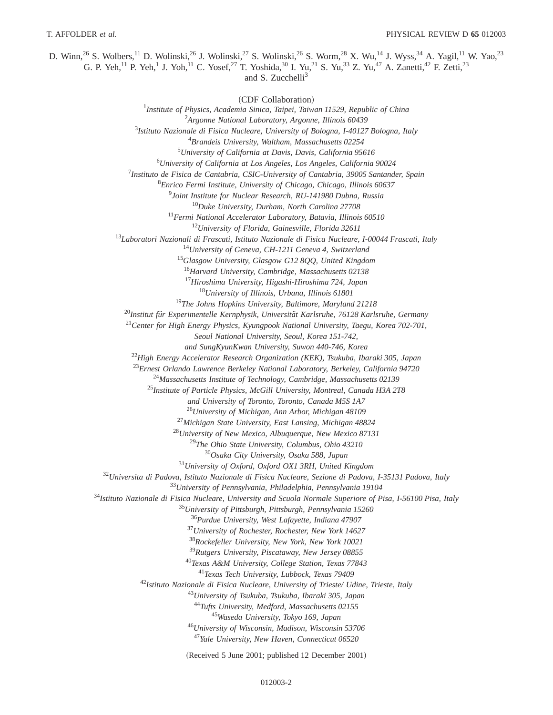D. Winn,<sup>26</sup> S. Wolbers,<sup>11</sup> D. Wolinski,<sup>26</sup> J. Wolinski,<sup>27</sup> S. Wolinski,<sup>26</sup> S. Worm,<sup>28</sup> X. Wu,<sup>14</sup> J. Wyss,<sup>34</sup> A. Yagil,<sup>11</sup> W. Yao,<sup>23</sup> G. P. Yeh,<sup>11</sup> P. Yeh,<sup>1</sup> J. Yoh,<sup>11</sup> C. Yosef,<sup>27</sup> T. Yoshida,<sup>30</sup> I. Yu,<sup>21</sup> S. Yu,<sup>33</sup> Z. Yu,<sup>47</sup> A. Zanetti,<sup>42</sup> F. Zetti,<sup>23</sup>

and S. Zucchelli<sup>3</sup>

<sup>~</sup>CDF Collaboration! *Institute of Physics, Academia Sinica, Taipei, Taiwan 11529, Republic of China Argonne National Laboratory, Argonne, Illinois 60439 Istituto Nazionale di Fisica Nucleare, University of Bologna, I-40127 Bologna, Italy Brandeis University, Waltham, Massachusetts 02254 University of California at Davis, Davis, California 95616 University of California at Los Angeles, Los Angeles, California 90024 Instituto de Fisica de Cantabria, CSIC-University of Cantabria, 39005 Santander, Spain Enrico Fermi Institute, University of Chicago, Chicago, Illinois 60637 Joint Institute for Nuclear Research, RU-141980 Dubna, Russia Duke University, Durham, North Carolina 27708 Fermi National Accelerator Laboratory, Batavia, Illinois 60510 University of Florida, Gainesville, Florida 32611 Laboratori Nazionali di Frascati, Istituto Nazionale di Fisica Nucleare, I-00044 Frascati, Italy University of Geneva, CH-1211 Geneva 4, Switzerland Glasgow University, Glasgow G12 8QQ, United Kingdom Harvard University, Cambridge, Massachusetts 02138 Hiroshima University, Higashi-Hiroshima 724, Japan University of Illinois, Urbana, Illinois 61801 The Johns Hopkins University, Baltimore, Maryland 21218 Institut fu¨r Experimentelle Kernphysik, Universita¨t Karlsruhe, 76128 Karlsruhe, Germany Center for High Energy Physics, Kyungpook National University, Taegu, Korea 702-701, Seoul National University, Seoul, Korea 151-742, and SungKyunKwan University, Suwon 440-746, Korea High Energy Accelerator Research Organization (KEK), Tsukuba, Ibaraki 305, Japan Ernest Orlando Lawrence Berkeley National Laboratory, Berkeley, California 94720 Massachusetts Institute of Technology, Cambridge, Massachusetts 02139 Institute of Particle Physics, McGill University, Montreal, Canada H3A 2T8 and University of Toronto, Toronto, Canada M5S 1A7 University of Michigan, Ann Arbor, Michigan 48109 Michigan State University, East Lansing, Michigan 48824 University of New Mexico, Albuquerque, New Mexico 87131 The Ohio State University, Columbus, Ohio 43210 Osaka City University, Osaka 588, Japan University of Oxford, Oxford OX1 3RH, United Kingdom Universita di Padova, Istituto Nazionale di Fisica Nucleare, Sezione di Padova, I-35131 Padova, Italy University of Pennsylvania, Philadelphia, Pennsylvania 19104 Istituto Nazionale di Fisica Nucleare, University and Scuola Normale Superiore of Pisa, I-56100 Pisa, Italy University of Pittsburgh, Pittsburgh, Pennsylvania 15260 Purdue University, West Lafayette, Indiana 47907 University of Rochester, Rochester, New York 14627 Rockefeller University, New York, New York 10021 Rutgers University, Piscataway, New Jersey 08855 Texas A&M University, College Station, Texas 77843 Texas Tech University, Lubbock, Texas 79409 Istituto Nazionale di Fisica Nucleare, University of Trieste/ Udine, Trieste, Italy University of Tsukuba, Tsukuba, Ibaraki 305, Japan Tufts University, Medford, Massachusetts 02155 Waseda University, Tokyo 169, Japan University of Wisconsin, Madison, Wisconsin 53706 Yale University, New Haven, Connecticut 06520*

(Received 5 June 2001; published 12 December 2001)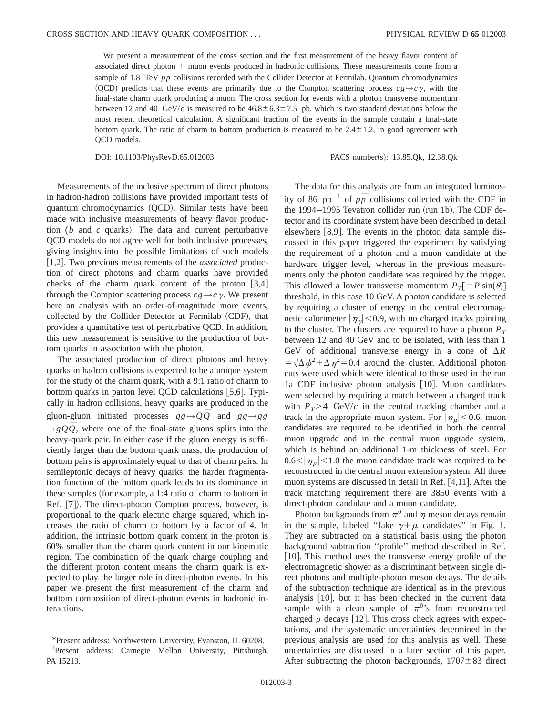We present a measurement of the cross section and the first measurement of the heavy flavor content of associated direct photon + muon events produced in hadronic collisions. These measurements come from a sample of 1.8 TeV  $p\bar{p}$  collisions recorded with the Collider Detector at Fermilab. Quantum chromodynamics (QCD) predicts that these events are primarily due to the Compton scattering process  $c g \rightarrow c \gamma$ , with the final-state charm quark producing a muon. The cross section for events with a photon transverse momentum between 12 and 40 GeV/*c* is measured to be  $46.8 \pm 6.3 \pm 7.5$  pb, which is two standard deviations below the most recent theoretical calculation. A significant fraction of the events in the sample contain a final-state bottom quark. The ratio of charm to bottom production is measured to be  $2.4 \pm 1.2$ , in good agreement with QCD models.

DOI: 10.1103/PhysRevD.65.012003 PACS number(s): 13.85.Qk, 12.38.Qk

Measurements of the inclusive spectrum of direct photons in hadron-hadron collisions have provided important tests of quantum chromodynamics (QCD). Similar tests have been made with inclusive measurements of heavy flavor production  $(b \text{ and } c \text{ quarks})$ . The data and current perturbative QCD models do not agree well for both inclusive processes, giving insights into the possible limitations of such models [1,2]. Two previous measurements of the *associated* production of direct photons and charm quarks have provided checks of the charm quark content of the proton  $[3,4]$ through the Compton scattering process  $cg \rightarrow c\gamma$ . We present here an analysis with an order-of-magnitude more events, collected by the Collider Detector at Fermilab (CDF), that provides a quantitative test of perturbative QCD. In addition, this new measurement is sensitive to the production of bottom quarks in association with the photon.

The associated production of direct photons and heavy quarks in hadron collisions is expected to be a unique system for the study of the charm quark, with a 9:1 ratio of charm to bottom quarks in parton level QCD calculations  $[5,6]$ . Typically in hadron collisions, heavy quarks are produced in the gluon-gluon initiated processes  $gg \rightarrow Q\overline{Q}$  and  $gg \rightarrow gg$  $\rightarrow$ *gQ* $\overline{Q}$ , where one of the final-state gluons splits into the heavy-quark pair. In either case if the gluon energy is sufficiently larger than the bottom quark mass, the production of bottom pairs is approximately equal to that of charm pairs. In semileptonic decays of heavy quarks, the harder fragmentation function of the bottom quark leads to its dominance in these samples (for example, a 1:4 ratio of charm to bottom in Ref. [7]). The direct-photon Compton process, however, is proportional to the quark electric charge squared, which increases the ratio of charm to bottom by a factor of 4. In addition, the intrinsic bottom quark content in the proton is 60% smaller than the charm quark content in our kinematic region. The combination of the quark charge coupling and the different proton content means the charm quark is expected to play the larger role in direct-photon events. In this paper we present the first measurement of the charm and bottom composition of direct-photon events in hadronic interactions.

The data for this analysis are from an integrated luminosity of 86 pb<sup>-1</sup> of  $p\bar{p}$  collisions collected with the CDF in the 1994–1995 Tevatron collider run (run 1b). The CDF detector and its coordinate system have been described in detail elsewhere  $[8,9]$ . The events in the photon data sample discussed in this paper triggered the experiment by satisfying the requirement of a photon and a muon candidate at the hardware trigger level, whereas in the previous measurements only the photon candidate was required by the trigger. This allowed a lower transverse momentum  $P_T[=P \sin(\theta)]$ threshold, in this case 10 GeV. A photon candidate is selected by requiring a cluster of energy in the central electromagnetic calorimeter  $|\eta_{\gamma}|$  < 0.9, with no charged tracks pointing to the cluster. The clusters are required to have a photon  $P_T$ between 12 and 40 GeV and to be isolated, with less than 1 GeV of additional transverse energy in a cone of  $\Delta R$  $= \sqrt{\Delta \phi^2 + \Delta \eta^2} = 0.4$  around the cluster. Additional photon cuts were used which were identical to those used in the run 1a CDF inclusive photon analysis [10]. Muon candidates were selected by requiring a match between a charged track with  $P_T$ >4 GeV/*c* in the central tracking chamber and a track in the appropriate muon system. For  $|\eta_{\mu}|$  < 0.6, muon candidates are required to be identified in both the central muon upgrade and in the central muon upgrade system, which is behind an additional 1-m thickness of steel. For  $0.6<|\eta_{\mu}|<1.0$  the muon candidate track was required to be reconstructed in the central muon extension system. All three muon systems are discussed in detail in Ref.  $[4,11]$ . After the track matching requirement there are 3850 events with a direct-photon candidate and a muon candidate.

Photon backgrounds from  $\pi^0$  and  $\eta$  meson decays remain in the sample, labeled "fake  $\gamma + \mu$  candidates" in Fig. 1. They are subtracted on a statistical basis using the photon background subtraction ''profile'' method described in Ref.  $[10]$ . This method uses the transverse energy profile of the electromagnetic shower as a discriminant between single direct photons and multiple-photon meson decays. The details of the subtraction technique are identical as in the previous analysis  $[10]$ , but it has been checked in the current data sample with a clean sample of  $\pi^{0}$ 's from reconstructed charged  $\rho$  decays [12]. This cross check agrees with expectations, and the systematic uncertainties determined in the previous analysis are used for this analysis as well. These uncertainties are discussed in a later section of this paper. After subtracting the photon backgrounds,  $1707 \pm 83$  direct

<sup>\*</sup>Present address: Northwestern University, Evanston, IL 60208. † Present address: Carnegie Mellon University, Pittsburgh, PA 15213.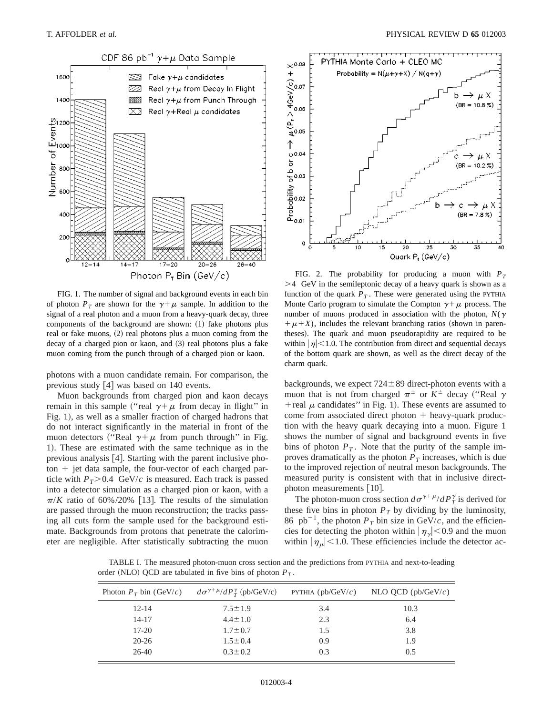

FIG. 1. The number of signal and background events in each bin of photon  $P_T$  are shown for the  $\gamma + \mu$  sample. In addition to the signal of a real photon and a muon from a heavy-quark decay, three components of the background are shown:  $(1)$  fake photons plus real or fake muons,  $(2)$  real photons plus a muon coming from the decay of a charged pion or kaon, and  $(3)$  real photons plus a fake muon coming from the punch through of a charged pion or kaon.

photons with a muon candidate remain. For comparison, the previous study  $[4]$  was based on 140 events.

Muon backgrounds from charged pion and kaon decays remain in this sample ("real  $\gamma + \mu$  from decay in flight" in Fig. 1), as well as a smaller fraction of charged hadrons that do not interact significantly in the material in front of the muon detectors ("Real  $\gamma + \mu$  from punch through" in Fig. 1). These are estimated with the same technique as in the previous analysis  $[4]$ . Starting with the parent inclusive pho- $\tau$  ton  $+$  jet data sample, the four-vector of each charged particle with  $P_T > 0.4$  GeV/*c* is measured. Each track is passed into a detector simulation as a charged pion or kaon, with a  $\pi/K$  ratio of 60%/20% [13]. The results of the simulation are passed through the muon reconstruction; the tracks passing all cuts form the sample used for the background estimate. Backgrounds from protons that penetrate the calorimeter are negligible. After statistically subtracting the muon



FIG. 2. The probability for producing a muon with  $P_T$  $>4$  GeV in the semileptonic decay of a heavy quark is shown as a function of the quark  $P_T$ . These were generated using the PYTHIA Monte Carlo program to simulate the Compton  $\gamma + \mu$  process. The number of muons produced in association with the photon,  $N(\gamma)$  $+\mu+X$ ), includes the relevant branching ratios (shown in parentheses). The quark and muon pseudorapidity are required to be within  $|\eta|$  < 1.0. The contribution from direct and sequential decays of the bottom quark are shown, as well as the direct decay of the charm quark.

backgrounds, we expect  $724 \pm 89$  direct-photon events with a muon that is not from charged  $\pi^{\pm}$  or  $K^{\pm}$  decay ("Real  $\gamma$ + real  $\mu$  candidates" in Fig. 1). These events are assumed to come from associated direct photon  $+$  heavy-quark production with the heavy quark decaying into a muon. Figure 1 shows the number of signal and background events in five bins of photon  $P_T$ . Note that the purity of the sample improves dramatically as the photon  $P_T$  increases, which is due to the improved rejection of neutral meson backgrounds. The measured purity is consistent with that in inclusive directphoton measurements  $[10]$ .

The photon-muon cross section  $d\sigma^{\gamma+\mu}/dP_T^{\gamma}$  is derived for these five bins in photon  $P_T$  by dividing by the luminosity, 86 pb<sup>-1</sup>, the photon  $P_T$  bin size in GeV/*c*, and the efficiencies for detecting the photon within  $|\eta_{\gamma}|$  < 0.9 and the muon within  $|\eta_{\mu}|$  < 1.0. These efficiencies include the detector ac-

TABLE I. The measured photon-muon cross section and the predictions from PYTHIA and next-to-leading order (NLO) QCD are tabulated in five bins of photon  $P_T$ .

|           | Photon $P_T$ bin (GeV/c) $d\sigma^{\gamma+\mu}/dP_T^{\gamma}$ (pb/GeV/c) | PYTHIA ( $pb/GeV/c$ ) | NLO QCD ( $pb/GeV/c$ ) |
|-----------|--------------------------------------------------------------------------|-----------------------|------------------------|
| $12 - 14$ | $7.5 \pm 1.9$                                                            | 3.4                   | 10.3                   |
| $14 - 17$ | $4.4 \pm 1.0$                                                            | 2.3                   | 6.4                    |
| $17-20$   | $1.7 \pm 0.7$                                                            | 1.5                   | 3.8                    |
| $20 - 26$ | $1.5 \pm 0.4$                                                            | 0.9                   | 1.9                    |
| 26-40     | $0.3 \pm 0.2$                                                            | 0.3                   | 0.5                    |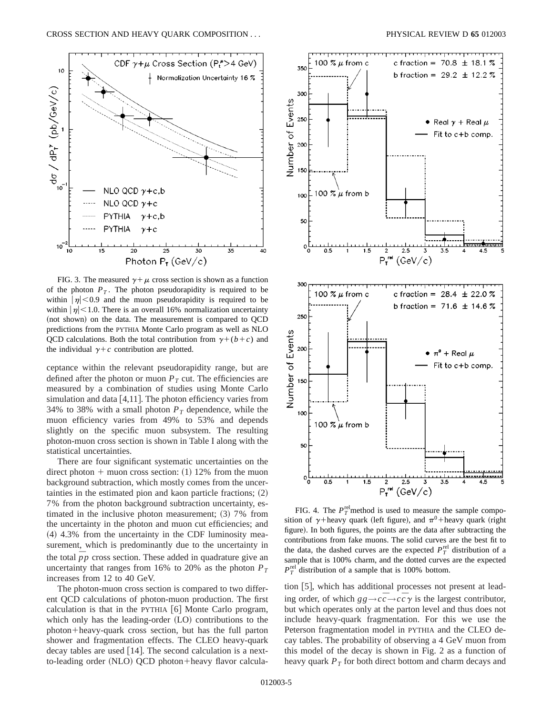

FIG. 3. The measured  $\gamma + \mu$  cross section is shown as a function of the photon  $P_T$ . The photon pseudorapidity is required to be within  $|\eta|$  < 0.9 and the muon pseudorapidity is required to be within  $|\eta|$  < 1.0. There is an overall 16% normalization uncertainty (not shown) on the data. The measurement is compared to QCD predictions from the PYTHIA Monte Carlo program as well as NLO QCD calculations. Both the total contribution from  $\gamma + (b+c)$  and the individual  $\gamma+c$  contribution are plotted.

ceptance within the relevant pseudorapidity range, but are defined after the photon or muon  $P<sub>T</sub>$  cut. The efficiencies are measured by a combination of studies using Monte Carlo simulation and data  $[4,11]$ . The photon efficiency varies from 34% to 38% with a small photon  $P<sub>T</sub>$  dependence, while the muon efficiency varies from 49% to 53% and depends slightly on the specific muon subsystem. The resulting photon-muon cross section is shown in Table I along with the statistical uncertainties.

There are four significant systematic uncertainties on the direct photon  $+$  muon cross section: (1) 12% from the muon background subtraction, which mostly comes from the uncertainties in the estimated pion and kaon particle fractions;  $(2)$ 7% from the photon background subtraction uncertainty, estimated in the inclusive photon measurement;  $(3)$  7% from the uncertainty in the photon and muon cut efficiencies; and  $(4)$  4.3% from the uncertainty in the CDF luminosity measurement, which is predominantly due to the uncertainty in the total  $\bar{p}p$  cross section. These added in quadrature give an uncertainty that ranges from 16% to 20% as the photon  $P_T$ increases from 12 to 40 GeV.

The photon-muon cross section is compared to two different QCD calculations of photon-muon production. The first calculation is that in the PYTHIA  $[6]$  Monte Carlo program, which only has the leading-order  $(LO)$  contributions to the photon+heavy-quark cross section, but has the full parton shower and fragmentation effects. The CLEO heavy-quark decay tables are used  $[14]$ . The second calculation is a nextto-leading order (NLO) QCD photon+heavy flavor calcula-



FIG. 4. The  $P_T^{\text{rel}}$  method is used to measure the sample composition of  $\gamma$ +heavy quark (left figure), and  $\pi$ <sup>0</sup>+heavy quark (right figure). In both figures, the points are the data after subtracting the contributions from fake muons. The solid curves are the best fit to the data, the dashed curves are the expected  $P_T^{\text{rel}}$  distribution of a sample that is 100% charm, and the dotted curves are the expected  $P_T^{\text{rel}}$  distribution of a sample that is 100% bottom.

tion  $[5]$ , which has additional processes not present at leading order, of which  $gg \rightarrow c\bar{c} \rightarrow c\bar{c}\gamma$  is the largest contributor, but which operates only at the parton level and thus does not include heavy-quark fragmentation. For this we use the Peterson fragmentation model in PYTHIA and the CLEO decay tables. The probability of observing a 4 GeV muon from this model of the decay is shown in Fig. 2 as a function of heavy quark  $P_T$  for both direct bottom and charm decays and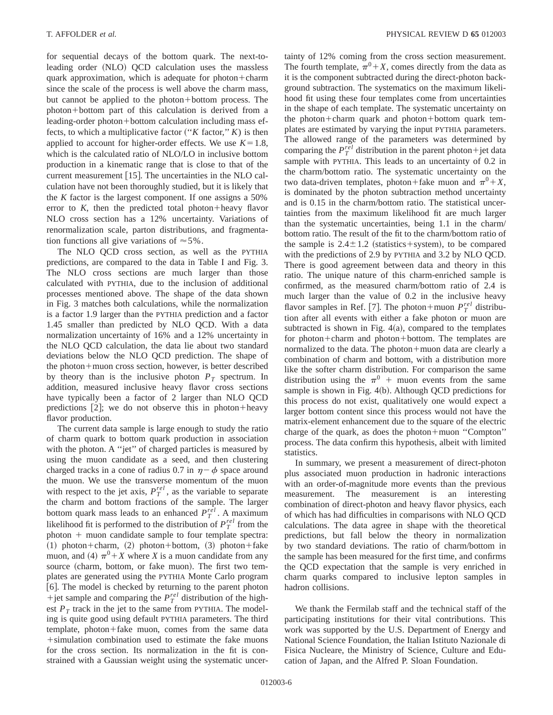for sequential decays of the bottom quark. The next-toleading order (NLO) QCD calculation uses the massless quark approximation, which is adequate for photon+charm since the scale of the process is well above the charm mass, but cannot be applied to the photon+bottom process. The photon+bottom part of this calculation is derived from a leading-order photon+bottom calculation including mass effects, to which a multiplicative factor  $("K factor," K)$  is then applied to account for higher-order effects. We use  $K=1.8$ , which is the calculated ratio of NLO/LO in inclusive bottom production in a kinematic range that is close to that of the current measurement  $|15|$ . The uncertainties in the NLO calculation have not been thoroughly studied, but it is likely that the *K* factor is the largest component. If one assigns a 50% error to  $K$ , then the predicted total photon+heavy flavor NLO cross section has a 12% uncertainty. Variations of renormalization scale, parton distributions, and fragmentation functions all give variations of  $\approx 5\%$ .

The NLO QCD cross section, as well as the PYTHIA predictions, are compared to the data in Table I and Fig. 3. The NLO cross sections are much larger than those calculated with PYTHIA, due to the inclusion of additional processes mentioned above. The shape of the data shown in Fig. 3 matches both calculations, while the normalization is a factor 1.9 larger than the PYTHIA prediction and a factor 1.45 smaller than predicted by NLO QCD. With a data normalization uncertainty of 16% and a 12% uncertainty in the NLO QCD calculation, the data lie about two standard deviations below the NLO QCD prediction. The shape of the photon+muon cross section, however, is better described by theory than is the inclusive photon  $P_T$  spectrum. In addition, measured inclusive heavy flavor cross sections have typically been a factor of 2 larger than NLO QCD predictions  $[2]$ ; we do not observe this in photon+heavy flavor production.

The current data sample is large enough to study the ratio of charm quark to bottom quark production in association with the photon. A "jet" of charged particles is measured by using the muon candidate as a seed, and then clustering charged tracks in a cone of radius 0.7 in  $\eta - \phi$  space around the muon. We use the transverse momentum of the muon with respect to the jet axis,  $P_T^{rel}$ , as the variable to separate the charm and bottom fractions of the sample. The larger bottom quark mass leads to an enhanced  $P_T^{rel}$ . A maximum likelihood fit is performed to the distribution of  $P_T^{rel}$  from the  $photon + muon$  candidate sample to four template spectra:  $(1)$  photon+charm,  $(2)$  photon+bottom,  $(3)$  photon+fake muon, and (4)  $\pi^{0} + X$  where *X* is a muon candidate from any source (charm, bottom, or fake muon). The first two templates are generated using the PYTHIA Monte Carlo program [6]. The model is checked by returning to the parent photon +jet sample and comparing the  $P_T^{rel}$  distribution of the highest  $P_T$  track in the jet to the same from PYTHIA. The modeling is quite good using default PYTHIA parameters. The third template, photon+fake muon, comes from the same data 1simulation combination used to estimate the fake muons for the cross section. Its normalization in the fit is constrained with a Gaussian weight using the systematic uncertainty of 12% coming from the cross section measurement. The fourth template,  $\pi^{0}+X$ , comes directly from the data as it is the component subtracted during the direct-photon background subtraction. The systematics on the maximum likelihood fit using these four templates come from uncertainties in the shape of each template. The systematic uncertainty on the photon+charm quark and photon+bottom quark templates are estimated by varying the input PYTHIA parameters. The allowed range of the parameters was determined by comparing the  $P_T^{rel}$  distribution in the parent photon+jet data sample with PYTHIA. This leads to an uncertainty of 0.2 in the charm/bottom ratio. The systematic uncertainty on the two data-driven templates, photon+fake muon and  $\pi^{0}+X$ , is dominated by the photon subtraction method uncertainty and is 0.15 in the charm/bottom ratio. The statistical uncertainties from the maximum likelihood fit are much larger than the systematic uncertainties, being 1.1 in the charm/ bottom ratio. The result of the fit to the charm/bottom ratio of the sample is  $2.4 \pm 1.2$  (statistics+system), to be compared with the predictions of 2.9 by PYTHIA and 3.2 by NLO QCD. There is good agreement between data and theory in this ratio. The unique nature of this charm-enriched sample is confirmed, as the measured charm/bottom ratio of 2.4 is much larger than the value of 0.2 in the inclusive heavy flavor samples in Ref. [7]. The photon+muon  $P_T^{rel}$  distribution after all events with either a fake photon or muon are subtracted is shown in Fig.  $4(a)$ , compared to the templates for photon+charm and photon+bottom. The templates are normalized to the data. The photon+muon data are clearly a combination of charm and bottom, with a distribution more like the softer charm distribution. For comparison the same distribution using the  $\pi^{0}$  + muon events from the same sample is shown in Fig.  $4(b)$ . Although QCD predictions for this process do not exist, qualitatively one would expect a larger bottom content since this process would not have the matrix-element enhancement due to the square of the electric charge of the quark, as does the photon+muon "Compton" process. The data confirm this hypothesis, albeit with limited statistics.

In summary, we present a measurement of direct-photon plus associated muon production in hadronic interactions with an order-of-magnitude more events than the previous measurement. The measurement is an interesting combination of direct-photon and heavy flavor physics, each of which has had difficulties in comparisons with NLO QCD calculations. The data agree in shape with the theoretical predictions, but fall below the theory in normalization by two standard deviations. The ratio of charm/bottom in the sample has been measured for the first time, and confirms the QCD expectation that the sample is very enriched in charm quarks compared to inclusive lepton samples in hadron collisions.

We thank the Fermilab staff and the technical staff of the participating institutions for their vital contributions. This work was supported by the U.S. Department of Energy and National Science Foundation, the Italian Istituto Nazionale di Fisica Nucleare, the Ministry of Science, Culture and Education of Japan, and the Alfred P. Sloan Foundation.